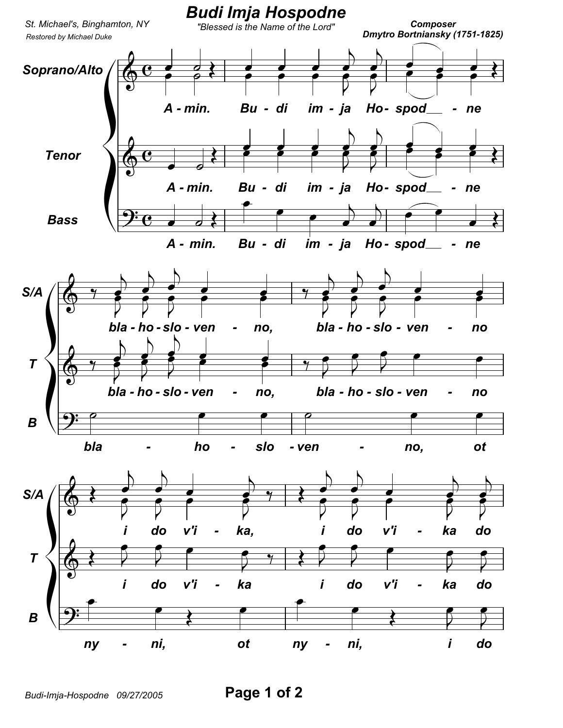